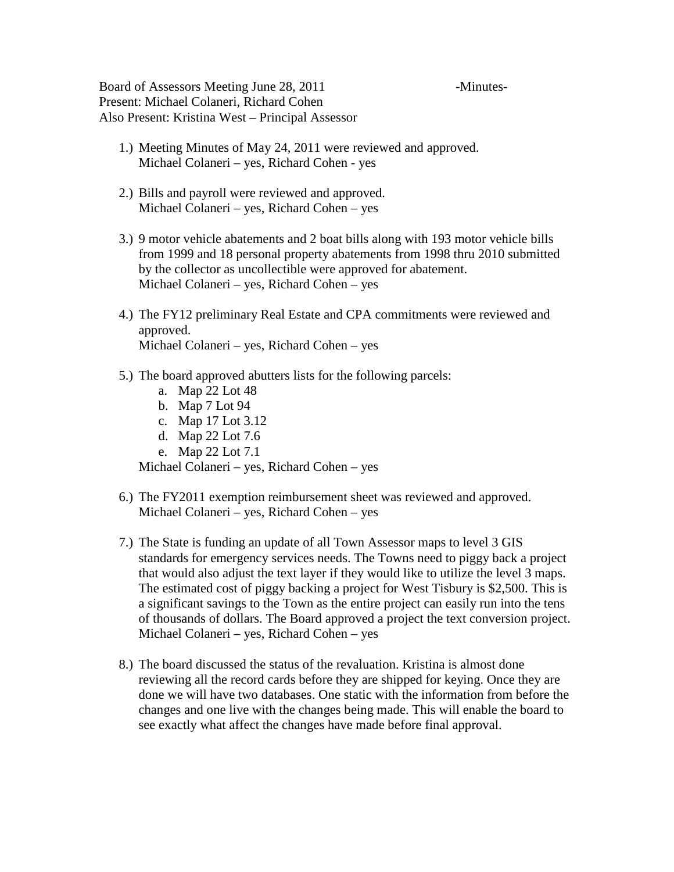Board of Assessors Meeting June 28, 2011 - Minutes-Present: Michael Colaneri, Richard Cohen Also Present: Kristina West – Principal Assessor

- 1.) Meeting Minutes of May 24, 2011 were reviewed and approved. Michael Colaneri – yes, Richard Cohen - yes
- 2.) Bills and payroll were reviewed and approved. Michael Colaneri – yes, Richard Cohen – yes
- 3.) 9 motor vehicle abatements and 2 boat bills along with 193 motor vehicle bills from 1999 and 18 personal property abatements from 1998 thru 2010 submitted by the collector as uncollectible were approved for abatement. Michael Colaneri – yes, Richard Cohen – yes
- 4.) The FY12 preliminary Real Estate and CPA commitments were reviewed and approved. Michael Colaneri – yes, Richard Cohen – yes
- 5.) The board approved abutters lists for the following parcels:
	- a. Map 22 Lot 48
	- b. Map 7 Lot 94
	- c. Map 17 Lot 3.12
	- d. Map 22 Lot 7.6
	- e. Map 22 Lot 7.1

Michael Colaneri – yes, Richard Cohen – yes

- 6.) The FY2011 exemption reimbursement sheet was reviewed and approved. Michael Colaneri – yes, Richard Cohen – yes
- 7.) The State is funding an update of all Town Assessor maps to level 3 GIS standards for emergency services needs. The Towns need to piggy back a project that would also adjust the text layer if they would like to utilize the level 3 maps. The estimated cost of piggy backing a project for West Tisbury is \$2,500. This is a significant savings to the Town as the entire project can easily run into the tens of thousands of dollars. The Board approved a project the text conversion project. Michael Colaneri – yes, Richard Cohen – yes
- 8.) The board discussed the status of the revaluation. Kristina is almost done reviewing all the record cards before they are shipped for keying. Once they are done we will have two databases. One static with the information from before the changes and one live with the changes being made. This will enable the board to see exactly what affect the changes have made before final approval.